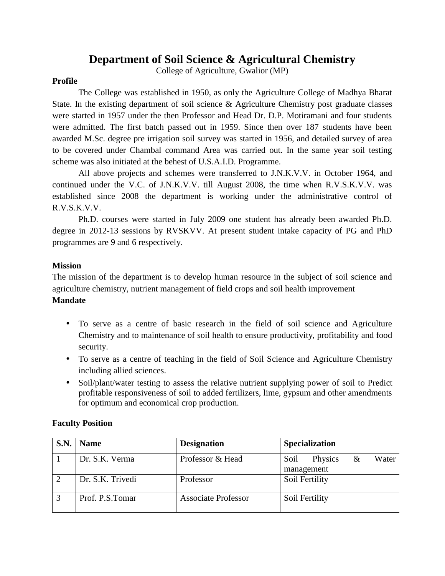# **Department of Soil Science & Agricultural Chemistry**

College of Agriculture, Gwalior (MP)

#### **Profile**

The College was established in 1950, as only the Agriculture College of Madhya Bharat State. In the existing department of soil science & Agriculture Chemistry post graduate classes were started in 1957 under the then Professor and Head Dr. D.P. Motiramani and four students were admitted. The first batch passed out in 1959. Since then over 187 students have been awarded M.Sc. degree pre irrigation soil survey was started in 1956, and detailed survey of area to be covered under Chambal command Area was carried out. In the same year soil testing scheme was also initiated at the behest of U.S.A.I.D. Programme.

All above projects and schemes were transferred to J.N.K.V.V. in October 1964, and continued under the V.C. of J.N.K.V.V. till August 2008, the time when R.V.S.K.V.V. was established since 2008 the department is working under the administrative control of R.V.S.K.V.V.

Ph.D. courses were started in July 2009 one student has already been awarded Ph.D. degree in 2012-13 sessions by RVSKVV. At present student intake capacity of PG and PhD programmes are 9 and 6 respectively.

#### **Mission**

The mission of the department is to develop human resource in the subject of soil science and agriculture chemistry, nutrient management of field crops and soil health improvement

#### **Mandate**

- To serve as a centre of basic research in the field of soil science and Agriculture Chemistry and to maintenance of soil health to ensure productivity, profitability and food security.
- To serve as a centre of teaching in the field of Soil Science and Agriculture Chemistry including allied sciences.
- Soil/plant/water testing to assess the relative nutrient supplying power of soil to Predict profitable responsiveness of soil to added fertilizers, lime, gypsum and other amendments for optimum and economical crop production.

| S.N. | <b>Name</b>      | <b>Designation</b>         | <b>Specialization</b>                       |
|------|------------------|----------------------------|---------------------------------------------|
|      | Dr. S.K. Verma   | Professor & Head           | Water<br>Physics<br>Soil<br>&<br>management |
|      | Dr. S.K. Trivedi | Professor                  | Soil Fertility                              |
|      | Prof. P.S. Tomar | <b>Associate Professor</b> | Soil Fertility                              |

#### **Faculty Position**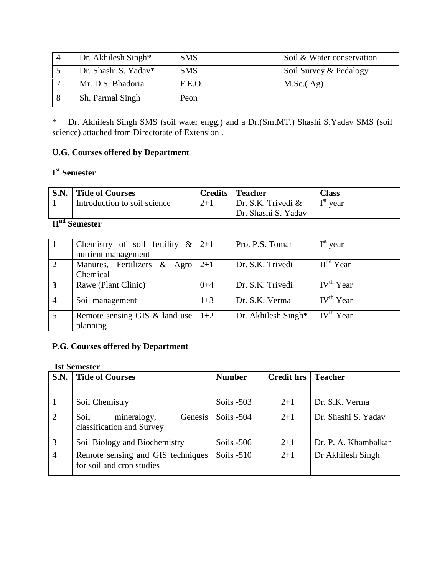| Dr. Akhilesh Singh*  | <b>SMS</b> | Soil & Water conservation |
|----------------------|------------|---------------------------|
| Dr. Shashi S. Yadav* | <b>SMS</b> | Soil Survey & Pedalogy    |
| Mr. D.S. Bhadoria    | F.E.O.     | M.Sc. (Ag)                |
| Sh. Parmal Singh     | Peon       |                           |

\* Dr. Akhilesh Singh SMS (soil water engg.) and a Dr.(SmtMT.) Shashi S.Yadav SMS (soil science) attached from Directorate of Extension .

## **U.G. Courses offered by Department**

## **I st Semester**

| S.N. | <b>Title of Courses</b>      | Credits | <b>Teacher</b>        | Class                            |
|------|------------------------------|---------|-----------------------|----------------------------------|
|      | Introduction to soil science | $2+1$   | Dr. S.K. Trivedi $\&$ | $\mathbf{T}^{\text{SL}}$<br>vear |
|      |                              |         | Dr. Shashi S. Yadav   |                                  |

# **IInd Semester**

|                | Chemistry of soil fertility $\&$<br>nutrient management | $2+1$   | Pro. P.S. Tomar     | $Ist$ year                |
|----------------|---------------------------------------------------------|---------|---------------------|---------------------------|
|                |                                                         |         |                     |                           |
| 2              | Manures, Fertilizers & Agro                             | $2+1$   | Dr. S.K. Trivedi    | $Hnd$ Year                |
|                | Chemical                                                |         |                     |                           |
| $\overline{3}$ | Rawe (Plant Clinic)                                     | $0 + 4$ | Dr. S.K. Trivedi    | IV <sup>th</sup> Year     |
|                |                                                         |         |                     |                           |
| $\overline{4}$ | Soil management                                         | $1 + 3$ | Dr. S.K. Verma      | $\overline{IV}^{th}$ Year |
|                |                                                         |         |                     |                           |
| 5              | Remote sensing GIS $\&$ land use                        | $1+2$   | Dr. Akhilesh Singh* | IV <sup>th</sup> Year     |
|                | planning                                                |         |                     |                           |

# **P.G. Courses offered by Department**

#### **Ist Semester**

| S.N. | <b>Title of Courses</b>                                        | <b>Number</b> | <b>Credit hrs</b> | <b>Teacher</b>       |
|------|----------------------------------------------------------------|---------------|-------------------|----------------------|
|      |                                                                |               |                   |                      |
|      | Soil Chemistry                                                 | Soils $-503$  | $2+1$             | Dr. S.K. Verma       |
|      | Genesis<br>mineralogy,<br>Soil<br>classification and Survey    | Soils $-504$  | $2+1$             | Dr. Shashi S. Yadav  |
| 3    | Soil Biology and Biochemistry                                  | Soils $-506$  | $2+1$             | Dr. P. A. Khambalkar |
| 4    | Remote sensing and GIS techniques<br>for soil and crop studies | Soils $-510$  | $2+1$             | Dr Akhilesh Singh    |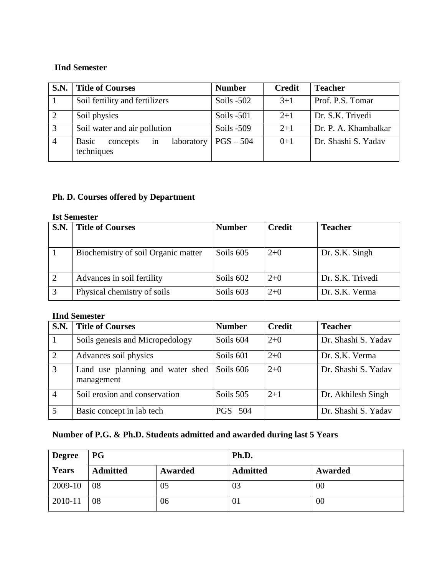### **IInd Semester**

| <b>S.N.</b>    | <b>Title of Courses</b>                                    | <b>Number</b> | <b>Credit</b> | <b>Teacher</b>       |
|----------------|------------------------------------------------------------|---------------|---------------|----------------------|
|                | Soil fertility and fertilizers                             | Soils $-502$  | $3+1$         | Prof. P.S. Tomar     |
| 2              | Soil physics                                               | Soils $-501$  | $2+1$         | Dr. S.K. Trivedi     |
| 3              | Soil water and air pollution                               | Soils $-509$  | $2+1$         | Dr. P. A. Khambalkar |
| $\overline{4}$ | <b>Basic</b><br>laboratory<br>concepts<br>in<br>techniques | $PGS - 504$   | $0+1$         | Dr. Shashi S. Yadav  |

## **Ph. D. Courses offered by Department**

### **Ist Semester**

| S.N. | <b>Title of Courses</b>             | <b>Number</b> | <b>Credit</b> | <b>Teacher</b>   |
|------|-------------------------------------|---------------|---------------|------------------|
|      |                                     |               |               |                  |
|      | Biochemistry of soil Organic matter | Soils 605     | $2+0$         | Dr. S.K. Singh   |
|      |                                     |               |               |                  |
|      | Advances in soil fertility          | Soils 602     | $2+0$         | Dr. S.K. Trivedi |
| 3    | Physical chemistry of soils         | Soils 603     | $2+0$         | Dr. S.K. Verma   |

#### **IInd Semester**

| S.N.           | <b>Title of Courses</b>                        | <b>Number</b>  | <b>Credit</b> | <b>Teacher</b>      |
|----------------|------------------------------------------------|----------------|---------------|---------------------|
|                | Soils genesis and Micropedology                | Soils 604      | $2+0$         | Dr. Shashi S. Yadav |
| 2              | Advances soil physics                          | Soils 601      | $2+0$         | Dr. S.K. Verma      |
| 3              | Land use planning and water shed<br>management | Soils 606      | $2+0$         | Dr. Shashi S. Yadav |
| $\overline{4}$ | Soil erosion and conservation                  | Soils 505      | $2+1$         | Dr. Akhilesh Singh  |
| 5              | Basic concept in lab tech                      | <b>PGS</b> 504 |               | Dr. Shashi S. Yadav |

# **Number of P.G. & Ph.D. Students admitted and awarded during last 5 Years**

| <b>Degree</b> | <b>PG</b>       |         | Ph.D.           |         |  |
|---------------|-----------------|---------|-----------------|---------|--|
| Years         | <b>Admitted</b> | Awarded | <b>Admitted</b> | Awarded |  |
| 2009-10       | 08              | 05      | 03              | 00      |  |
| 2010-11       | 08              | 06      | 01              | 00      |  |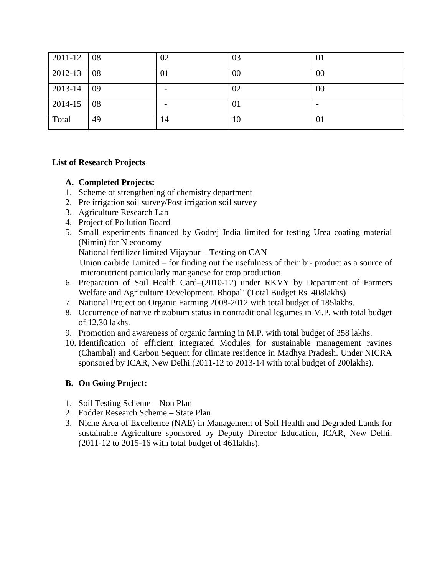| 2011-12 | 08 | 02 | 03 | 01     |
|---------|----|----|----|--------|
| 2012-13 | 08 | 01 | 00 | 00     |
| 2013-14 | 09 |    | 02 | $00\,$ |
| 2014-15 | 08 |    | 01 |        |
| Total   | 49 | 14 | 10 | 01     |

#### **List of Research Projects**

#### **A. Completed Projects:**

- 1. Scheme of strengthening of chemistry department
- 2. Pre irrigation soil survey/Post irrigation soil survey
- 3. Agriculture Research Lab
- 4. Project of Pollution Board
- 5. Small experiments financed by Godrej India limited for testing Urea coating material (Nimin) for N economy National fertilizer limited Vijaypur – Testing on CAN

Union carbide Limited – for finding out the usefulness of their bi- product as a source of micronutrient particularly manganese for crop production.

- 6. Preparation of Soil Health Card–(2010-12) under RKVY by Department of Farmers Welfare and Agriculture Development, Bhopal' (Total Budget Rs. 408lakhs)
- 7. National Project on Organic Farming.2008-2012 with total budget of 185lakhs.
- 8. Occurrence of native rhizobium status in nontraditional legumes in M.P. with total budget of 12.30 lakhs.
- 9. Promotion and awareness of organic farming in M.P. with total budget of 358 lakhs.
- 10. Identification of efficient integrated Modules for sustainable management ravines (Chambal) and Carbon Sequent for climate residence in Madhya Pradesh. Under NICRA sponsored by ICAR, New Delhi.(2011-12 to 2013-14 with total budget of 200lakhs).

### **B. On Going Project:**

- 1. Soil Testing Scheme Non Plan
- 2. Fodder Research Scheme State Plan
- 3. Niche Area of Excellence (NAE) in Management of Soil Health and Degraded Lands for sustainable Agriculture sponsored by Deputy Director Education, ICAR, New Delhi. (2011-12 to 2015-16 with total budget of 461lakhs).